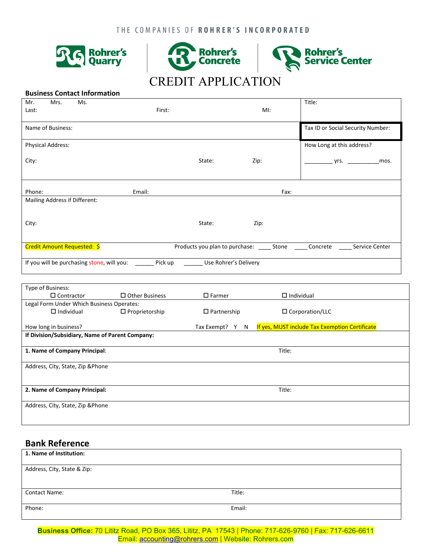



## **Business Contact Information**

| Mr.<br>Mrs.<br>Ms.<br>Last:                                                    | First: |        | MI:                                          | Title:                            |  |
|--------------------------------------------------------------------------------|--------|--------|----------------------------------------------|-----------------------------------|--|
| Name of Business:                                                              |        |        |                                              | Tax ID or Social Security Number: |  |
| <b>Physical Address:</b>                                                       |        |        |                                              | How Long at this address?         |  |
| City:                                                                          |        | State: | Zip:                                         | yrs.<br>mos.                      |  |
|                                                                                |        |        |                                              |                                   |  |
| Phone:                                                                         | Email: |        | Fax:                                         |                                   |  |
| Mailing Address if Different:                                                  |        |        |                                              |                                   |  |
| City:                                                                          |        | State: | Zip:                                         |                                   |  |
| Credit Amount Requested: \$                                                    |        |        | Products you plan to purchase: _______ Stone | Service Center<br>Concrete        |  |
| Pick up<br>If you will be purchasing stone, will you:<br>Use Rohrer's Delivery |        |        |                                              |                                   |  |

| Type of Business:                               |                       |                    |                                                |  |
|-------------------------------------------------|-----------------------|--------------------|------------------------------------------------|--|
| $\Box$ Contractor                               | $\Box$ Other Business | $\square$ Farmer   | $\Box$ Individual                              |  |
| Legal Form Under Which Business Operates:       |                       |                    |                                                |  |
| $\Box$ Individual                               | $\Box$ Proprietorship | $\Box$ Partnership | $\Box$ Corporation/LLC                         |  |
| How long in business?                           |                       | Tax Exempt?<br>Y N | If yes, MUST include Tax Exemption Certificate |  |
| If Division/Subsidiary, Name of Parent Company: |                       |                    |                                                |  |
| 1. Name of Company Principal:                   |                       | Title:             |                                                |  |
| Address, City, State, Zip & Phone               |                       |                    |                                                |  |
| 2. Name of Company Principal:                   |                       | Title:             |                                                |  |
| Address, City, State, Zip & Phone               |                       |                    |                                                |  |

## **Bank Reference**

| 1. Name of Institution:     |        |
|-----------------------------|--------|
|                             |        |
|                             |        |
| Address, City, State & Zip: |        |
|                             |        |
|                             |        |
| <b>Contact Name:</b>        | Title: |
|                             |        |
|                             |        |
| Phone:                      | Email: |
|                             |        |
|                             |        |
|                             |        |

**Business Office:** 70 Lititz Road, PO Box 365, Lititz, PA 17543 | Phone: 717-626-9760 | Fax: 717-626-6611 Email: [accounting@rohrers.com](mailto:accounting@rohrers.com) | Website: Rohrers.com